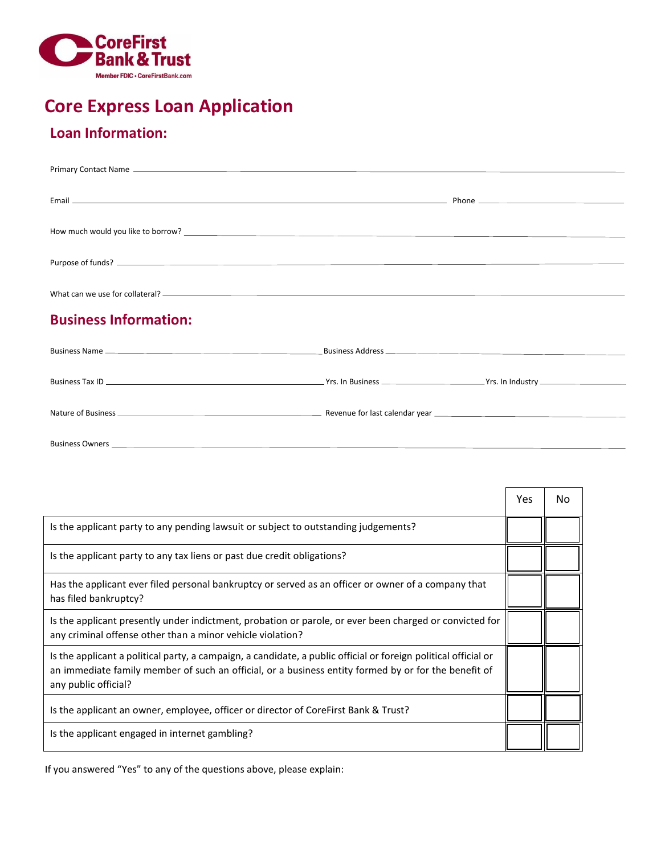

# **Core Express Loan Application**

# **Loan Information:**

| <b>Business Information:</b> |  |
|------------------------------|--|
|                              |  |
|                              |  |
|                              |  |
|                              |  |

Nature of Business Revenue for last calendar year

Business Owners

|                                                                                                                                                                                                                                                 | Yes | No. |
|-------------------------------------------------------------------------------------------------------------------------------------------------------------------------------------------------------------------------------------------------|-----|-----|
| Is the applicant party to any pending lawsuit or subject to outstanding judgements?                                                                                                                                                             |     |     |
| Is the applicant party to any tax liens or past due credit obligations?                                                                                                                                                                         |     |     |
| Has the applicant ever filed personal bankruptcy or served as an officer or owner of a company that<br>has filed bankruptcy?                                                                                                                    |     |     |
| Is the applicant presently under indictment, probation or parole, or ever been charged or convicted for<br>any criminal offense other than a minor vehicle violation?                                                                           |     |     |
| Is the applicant a political party, a campaign, a candidate, a public official or foreign political official or<br>an immediate family member of such an official, or a business entity formed by or for the benefit of<br>any public official? |     |     |
| Is the applicant an owner, employee, officer or director of CoreFirst Bank & Trust?                                                                                                                                                             |     |     |
| Is the applicant engaged in internet gambling?                                                                                                                                                                                                  |     |     |

If you answered "Yes" to any of the questions above, please explain: